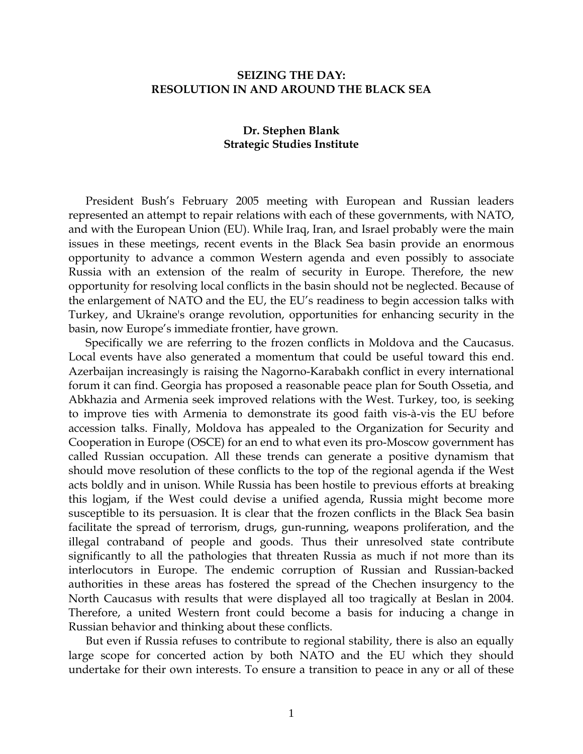## **SEIZING THE DAY: RESOLUTION IN AND AROUND THE BLACK SEA**

## **Dr. Stephen Blank Strategic Studies Institute**

President Bush's February 2005 meeting with European and Russian leaders represented an attempt to repair relations with each of these governments, with NATO, and with the European Union (EU). While Iraq, Iran, and Israel probably were the main issues in these meetings, recent events in the Black Sea basin provide an enormous opportunity to advance a common Western agenda and even possibly to associate Russia with an extension of the realm of security in Europe. Therefore, the new opportunity for resolving local conflicts in the basin should not be neglected. Because of the enlargement of NATO and the EU, the EU's readiness to begin accession talks with Turkey, and Ukraine's orange revolution, opportunities for enhancing security in the basin, now Europe's immediate frontier, have grown.

Specifically we are referring to the frozen conflicts in Moldova and the Caucasus. Local events have also generated a momentum that could be useful toward this end. Azerbaijan increasingly is raising the Nagorno-Karabakh conflict in every international forum it can find. Georgia has proposed a reasonable peace plan for South Ossetia, and Abkhazia and Armenia seek improved relations with the West. Turkey, too, is seeking to improve ties with Armenia to demonstrate its good faith vis-à-vis the EU before accession talks. Finally, Moldova has appealed to the Organization for Security and Cooperation in Europe (OSCE) for an end to what even its pro-Moscow government has called Russian occupation. All these trends can generate a positive dynamism that should move resolution of these conflicts to the top of the regional agenda if the West acts boldly and in unison. While Russia has been hostile to previous efforts at breaking this logjam, if the West could devise a unified agenda, Russia might become more susceptible to its persuasion. It is clear that the frozen conflicts in the Black Sea basin facilitate the spread of terrorism, drugs, gun-running, weapons proliferation, and the illegal contraband of people and goods. Thus their unresolved state contribute significantly to all the pathologies that threaten Russia as much if not more than its interlocutors in Europe. The endemic corruption of Russian and Russian-backed authorities in these areas has fostered the spread of the Chechen insurgency to the North Caucasus with results that were displayed all too tragically at Beslan in 2004. Therefore, a united Western front could become a basis for inducing a change in Russian behavior and thinking about these conflicts.

But even if Russia refuses to contribute to regional stability, there is also an equally large scope for concerted action by both NATO and the EU which they should undertake for their own interests. To ensure a transition to peace in any or all of these